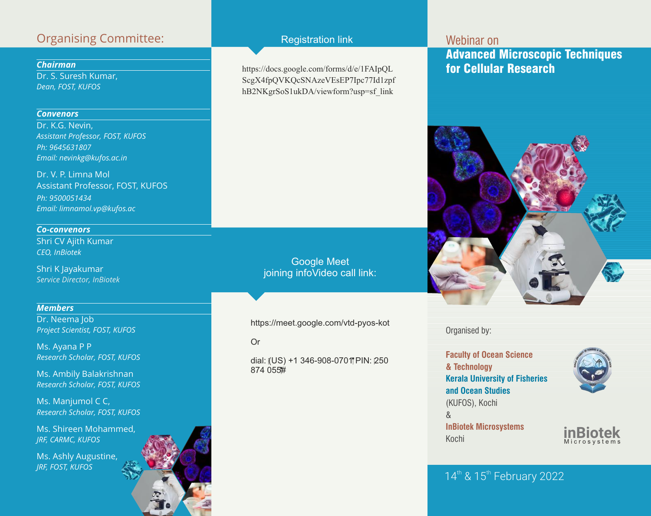## Organising Committee:

### *Chairman*

Dr. S. Suresh Kumar, *Dean, FOST, KUFOS* 

### *Convenors*

Dr. K.G. Nevin, *Assistant Professor, FOST, KUFOS Ph: 9645631807 Email: nevinkg@kufos.ac.in*

Dr. V. P. Limna Mol Assistant Professor, FOST, KUFOS *Ph: 9500051434 Email: limnamol.vp@kufos.ac* 

*Co-convenors* Shri CV Ajith Kumar *CEO, InBiotek*

Shri K Jayakumar *Service Director, InBiotek*

### *Members*

Dr. Neema Job *Project Scientist, FOST, KUFOS*

Ms. Ayana P P *Research Scholar, FOST, KUFOS*

Ms. Ambily Balakrishnan *Research Scholar, FOST, KUFOS*

Ms. Manjumol C C, *Research Scholar, FOST, KUFOS*

Ms. Shireen Mohammed, *JRF, CARMC, KUFOS*

Ms. Ashly Augustine, *JRF, FOST, KUFOS*

### Registration link

https://docs.google.com/forms/d/e/1FAIpQL ScgX4fpQVKQcSNAzeVEsEP7Ipc77Id1zpf hB2NKgrSoS1ukDA/viewform?usp=sf\_link

> Google Meet joining infoVideo call link:

https://meet.google.com/vtd-pyos-kot

Or

dial: (US) +1 346-908-0701 PIN: 250 874 055#

# Webinar on Advanced Microscopic Techniques for Cellular Research



Organised by:

**Faculty of Ocean Science & Technology Kerala University of Fisheries and Ocean Studies** (KUFOS), Kochi & **InBiotek Microsystems**  Kochi **inBiotek**



M i c r o s y s t e m s

### $14<sup>th</sup>$  &  $15<sup>th</sup>$  February 2022